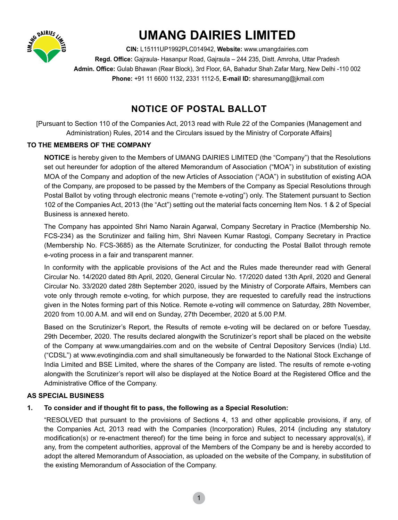

# **UMANG DAIRIES LIMITED**

**CIN:** L15111UP1992PLC014942, **Website:** www.umangdairies.com Regd. Office: Gajraula- Hasanpur Road, Gajraula - 244 235, Distt. Amroha, Uttar Pradesh Admin. Office: Gulab Bhawan (Rear Block), 3rd Floor, 6A, Bahadur Shah Zafar Marg, New Delhi -110 002  **Phone:** +91 11 6600 1132, 2331 1112-5, **E-mail ID:** sharesumang@jkmail.com

# **NOTICE OF POSTAL BALLOT**

[Pursuant to Section 110 of the Companies Act, 2013 read with Rule 22 of the Companies (Management and Administration) Rules, 2014 and the Circulars issued by the Ministry of Corporate Affairs]

# **TO THE MEMBERS OF THE COMPANY**

 **NOTICE** is hereby given to the Members of UMANG DAIRIES LIMITED (the "Company") that the Resolutions set out hereunder for adoption of the altered Memorandum of Association ("MOA") in substitution of existing MOA of the Company and adoption of the new Articles of Association ("AOA") in substitution of existing AOA of the Company, are proposed to be passed by the Members of the Company as Special Resolutions through Postal Ballot by voting through electronic means ("remote e-voting") only. The Statement pursuant to Section 102 of the Companies Act, 2013 (the "Act") setting out the material facts concerning Item Nos. 1 & 2 of Special Business is annexed hereto.

 The Company has appointed Shri Namo Narain Agarwal, Company Secretary in Practice (Membership No. FCS-234) as the Scrutinizer and failing him, Shri Naveen Kumar Rastogi, Company Secretary in Practice (Membership No. FCS-3685) as the Alternate Scrutinizer, for conducting the Postal Ballot through remote e-voting process in a fair and transparent manner.

 In conformity with the applicable provisions of the Act and the Rules made thereunder read with General Circular No. 14/2020 dated 8th April, 2020, General Circular No. 17/2020 dated 13th April, 2020 and General Circular No. 33/2020 dated 28th September 2020, issued by the Ministry of Corporate Affairs, Members can vote only through remote e-voting, for which purpose, they are requested to carefully read the instructions given in the Notes forming part of this Notice. Remote e-voting will commence on Saturday, 28th November, 2020 from 10.00 A.M. and will end on Sunday, 27th December, 2020 at 5.00 P.M.

 Based on the Scrutinizer's Report, the Results of remote e-voting will be declared on or before Tuesday, 29th December, 2020. The results declared alongwith the Scrutinizer's report shall be placed on the website of the Company at www.umangdairies.com and on the website of Central Depository Services (India) Ltd. ("CDSL") at www.evotingindia.com and shall simultaneously be forwarded to the National Stock Exchange of India Limited and BSE Limited, where the shares of the Company are listed. The results of remote e-voting alongwith the Scrutinizer's report will also be displayed at the Notice Board at the Registered Office and the Administrative Office of the Company.

# **AS SPECIAL BUSINESS**

# **1. To consider and if thought fi t to pass, the following as a Special Resolution:**

 "RESOLVED that pursuant to the provisions of Sections 4, 13 and other applicable provisions, if any, of the Companies Act, 2013 read with the Companies (Incorporation) Rules, 2014 (including any statutory modification(s) or re-enactment thereof) for the time being in force and subject to necessary approval(s), if any, from the competent authorities, approval of the Members of the Company be and is hereby accorded to adopt the altered Memorandum of Association, as uploaded on the website of the Company, in substitution of the existing Memorandum of Association of the Company.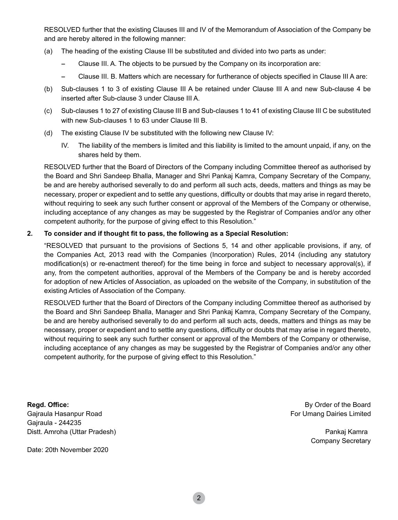RESOLVED further that the existing Clauses III and IV of the Memorandum of Association of the Company be and are hereby altered in the following manner:

- (a) The heading of the existing Clause III be substituted and divided into two parts as under:
	- Clause III. A. The objects to be pursued by the Company on its incorporation are:
	- Clause III. B. Matters which are necessary for furtherance of objects specified in Clause III A are:
- (b) Sub-clauses 1 to 3 of existing Clause III A be retained under Clause III A and new Sub-clause 4 be inserted after Sub-clause 3 under Clause III A.
- (c) Sub-clauses 1 to 27 of existing Clause III B and Sub-clauses 1 to 41 of existing Clause III C be substituted with new Sub-clauses 1 to 63 under Clause III B.
- (d) The existing Clause IV be substituted with the following new Clause IV:
	- IV. The liability of the members is limited and this liability is limited to the amount unpaid, if any, on the shares held by them.

 RESOLVED further that the Board of Directors of the Company including Committee thereof as authorised by the Board and Shri Sandeep Bhalla, Manager and Shri Pankaj Kamra, Company Secretary of the Company, be and are hereby authorised severally to do and perform all such acts, deeds, matters and things as may be necessary, proper or expedient and to settle any questions, difficulty or doubts that may arise in regard thereto, without requiring to seek any such further consent or approval of the Members of the Company or otherwise, including acceptance of any changes as may be suggested by the Registrar of Companies and/or any other competent authority, for the purpose of giving effect to this Resolution."

#### **2. To consider and if thought fi t to pass, the following as a Special Resolution:**

 "RESOLVED that pursuant to the provisions of Sections 5, 14 and other applicable provisions, if any, of the Companies Act, 2013 read with the Companies (Incorporation) Rules, 2014 (including any statutory modification(s) or re-enactment thereof) for the time being in force and subject to necessary approval(s), if any, from the competent authorities, approval of the Members of the Company be and is hereby accorded for adoption of new Articles of Association, as uploaded on the website of the Company, in substitution of the existing Articles of Association of the Company.

 RESOLVED further that the Board of Directors of the Company including Committee thereof as authorised by the Board and Shri Sandeep Bhalla, Manager and Shri Pankaj Kamra, Company Secretary of the Company, be and are hereby authorised severally to do and perform all such acts, deeds, matters and things as may be necessary, proper or expedient and to settle any questions, difficulty or doubts that may arise in regard thereto, without requiring to seek any such further consent or approval of the Members of the Company or otherwise, including acceptance of any changes as may be suggested by the Registrar of Companies and/or any other competent authority, for the purpose of giving effect to this Resolution."

**Regd. Office:** By Order of the Board Gajraula Hasanpur Road **For Umang Dairies Limited** For Umang Dairies Limited Gajraula - 244235 Distt. Amroha (Uttar Pradesh) Pankaj Kamra

Date: 20th November 2020

Company Secretary

2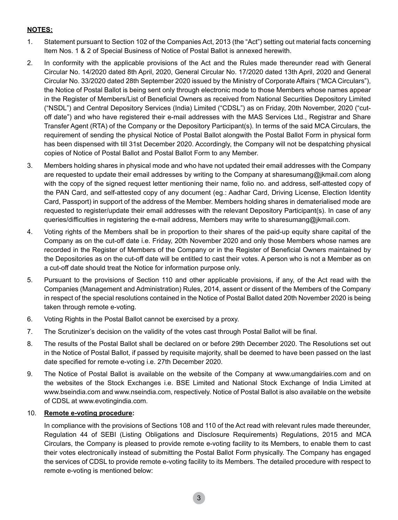## **NOTES:**

- 1. Statement pursuant to Section 102 of the Companies Act, 2013 (the "Act") setting out material facts concerning Item Nos. 1 & 2 of Special Business of Notice of Postal Ballot is annexed herewith.
- 2. In conformity with the applicable provisions of the Act and the Rules made thereunder read with General Circular No. 14/2020 dated 8th April, 2020, General Circular No. 17/2020 dated 13th April, 2020 and General Circular No. 33/2020 dated 28th September 2020 issued by the Ministry of Corporate Affairs ("MCA Circulars"), the Notice of Postal Ballot is being sent only through electronic mode to those Members whose names appear in the Register of Members/List of Beneficial Owners as received from National Securities Depository Limited ("NSDL") and Central Depository Services (India) Limited ("CDSL") as on Friday, 20th November, 2020 ("cutoff date") and who have registered their e-mail addresses with the MAS Services Ltd., Registrar and Share Transfer Agent (RTA) of the Company or the Depository Participant(s). In terms of the said MCA Circulars, the requirement of sending the physical Notice of Postal Ballot alongwith the Postal Ballot Form in physical form has been dispensed with till 31st December 2020. Accordingly, the Company will not be despatching physical copies of Notice of Postal Ballot and Postal Ballot Form to any Member.
- 3. Members holding shares in physical mode and who have not updated their email addresses with the Company are requested to update their email addresses by writing to the Company at sharesumang@jkmail.com along with the copy of the signed request letter mentioning their name, folio no. and address, self-attested copy of the PAN Card, and self-attested copy of any document (eg.: Aadhar Card, Driving License, Election Identity Card, Passport) in support of the address of the Member. Members holding shares in dematerialised mode are requested to register/update their email addresses with the relevant Depository Participant(s). In case of any queries/difficulties in registering the e-mail address, Members may write to sharesumang@jkmail.com.
- 4. Voting rights of the Members shall be in proportion to their shares of the paid-up equity share capital of the Company as on the cut-off date i.e. Friday, 20th November 2020 and only those Members whose names are recorded in the Register of Members of the Company or in the Register of Beneficial Owners maintained by the Depositories as on the cut-off date will be entitled to cast their votes. A person who is not a Member as on a cut-off date should treat the Notice for information purpose only.
- 5. Pursuant to the provisions of Section 110 and other applicable provisions, if any, of the Act read with the Companies (Management and Administration) Rules, 2014, assent or dissent of the Members of the Company in respect of the special resolutions contained in the Notice of Postal Ballot dated 20th November 2020 is being taken through remote e-voting.
- 6. Voting Rights in the Postal Ballot cannot be exercised by a proxy.
- 7. The Scrutinizer's decision on the validity of the votes cast through Postal Ballot will be final.
- 8. The results of the Postal Ballot shall be declared on or before 29th December 2020. The Resolutions set out in the Notice of Postal Ballot, if passed by requisite majority, shall be deemed to have been passed on the last date specified for remote e-voting i.e. 27th December 2020.
- 9. The Notice of Postal Ballot is available on the website of the Company at www.umangdairies.com and on the websites of the Stock Exchanges i.e. BSE Limited and National Stock Exchange of India Limited at www.bseindia.com and www.nseindia.com, respectively. Notice of Postal Ballot is also available on the website of CDSL at www.evotingindia.com.

#### 10. **Remote e-voting procedure:**

 In compliance with the provisions of Sections 108 and 110 of the Act read with relevant rules made thereunder, Regulation 44 of SEBI (Listing Obligations and Disclosure Requirements) Regulations, 2015 and MCA Circulars, the Company is pleased to provide remote e-voting facility to its Members, to enable them to cast their votes electronically instead of submitting the Postal Ballot Form physically. The Company has engaged the services of CDSL to provide remote e-voting facility to its Members. The detailed procedure with respect to remote e-voting is mentioned below:

3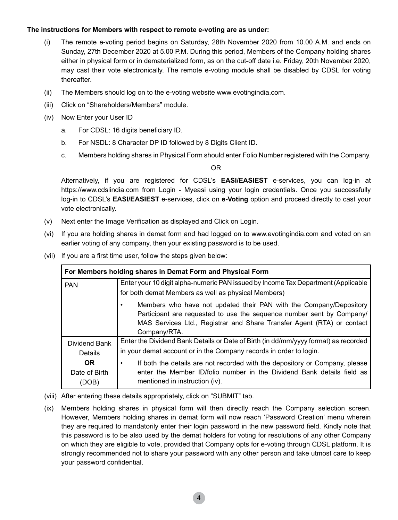#### **The instructions for Members with respect to remote e-voting are as under:**

- (i) The remote e-voting period begins on Saturday, 28th November 2020 from 10.00 A.M. and ends on Sunday, 27th December 2020 at 5.00 P.M. During this period, Members of the Company holding shares either in physical form or in dematerialized form, as on the cut-off date i.e. Friday, 20th November 2020, may cast their vote electronically. The remote e-voting module shall be disabled by CDSL for voting thereafter.
- (ii) The Members should log on to the e-voting website www.evotingindia.com.
- (iii) Click on "Shareholders/Members" module.
- (iv) Now Enter your User ID
	- a. For CDSL: 16 digits beneficiary ID.
	- b. For NSDL: 8 Character DP ID followed by 8 Digits Client ID.
	- c. Members holding shares in Physical Form should enter Folio Number registered with the Company.

OR

 Alternatively, if you are registered for CDSL's **EASI/EASIEST** e-services, you can log-in at https://www.cdslindia.com from Login - Myeasi using your login credentials. Once you successfully log-in to CDSL's **EASI/EASIEST** e-services, click on **e-Voting** option and proceed directly to cast your vote electronically.

- (v) Next enter the Image Verification as displayed and Click on Login.
- (vi) If you are holding shares in demat form and had logged on to www.evotingindia.com and voted on an earlier voting of any company, then your existing password is to be used.
- (vii) If you are a first time user, follow the steps given below:

| For Members holding shares in Demat Form and Physical Form |                                                                                     |
|------------------------------------------------------------|-------------------------------------------------------------------------------------|
| <b>PAN</b>                                                 | Enter your 10 digit alpha-numeric PAN issued by Income Tax Department (Applicable   |
|                                                            | for both demat Members as well as physical Members)                                 |
|                                                            | Members who have not updated their PAN with the Company/Depository                  |
|                                                            | Participant are requested to use the sequence number sent by Company/               |
|                                                            | MAS Services Ltd., Registrar and Share Transfer Agent (RTA) or contact              |
|                                                            | Company/RTA.                                                                        |
| Dividend Bank                                              | Enter the Dividend Bank Details or Date of Birth (in dd/mm/yyyy format) as recorded |
| <b>Details</b>                                             | in your demat account or in the Company records in order to login.                  |
| <b>OR</b>                                                  | If both the details are not recorded with the depository or Company, please<br>٠    |
| Date of Birth                                              | enter the Member ID/folio number in the Dividend Bank details field as              |
| (DOB)                                                      | mentioned in instruction (iv).                                                      |

- (viii) After entering these details appropriately, click on "SUBMIT" tab.
- (ix) Members holding shares in physical form will then directly reach the Company selection screen. However, Members holding shares in demat form will now reach 'Password Creation' menu wherein they are required to mandatorily enter their login password in the new password field. Kindly note that this password is to be also used by the demat holders for voting for resolutions of any other Company on which they are eligible to vote, provided that Company opts for e-voting through CDSL platform. It is strongly recommended not to share your password with any other person and take utmost care to keep your password confidential.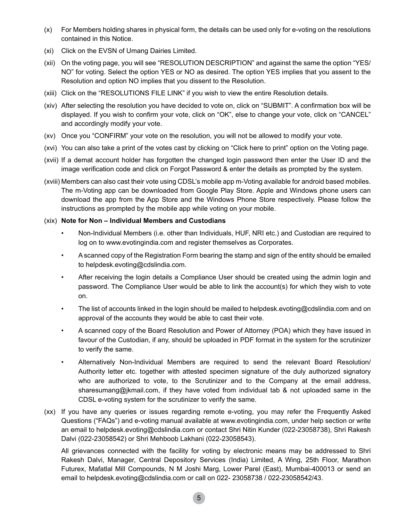- (x) For Members holding shares in physical form, the details can be used only for e-voting on the resolutions contained in this Notice.
- (xi) Click on the EVSN of Umang Dairies Limited.
- (xii) On the voting page, you will see "RESOLUTION DESCRIPTION" and against the same the option "YES/ NO" for voting. Select the option YES or NO as desired. The option YES implies that you assent to the Resolution and option NO implies that you dissent to the Resolution.
- (xiii) Click on the "RESOLUTIONS FILE LINK" if you wish to view the entire Resolution details.
- (xiv) After selecting the resolution you have decided to vote on, click on "SUBMIT". A confirmation box will be displayed. If you wish to confirm your vote, click on "OK", else to change your vote, click on "CANCEL" and accordingly modify your vote.
- (xv) Once you "CONFIRM" your vote on the resolution, you will not be allowed to modify your vote.
- (xvi) You can also take a print of the votes cast by clicking on "Click here to print" option on the Voting page.
- (xvii) If a demat account holder has forgotten the changed login password then enter the User ID and the image verification code and click on Forgot Password & enter the details as prompted by the system.
- (xviii) Members can also cast their vote using CDSL's mobile app m-Voting available for android based mobiles. The m-Voting app can be downloaded from Google Play Store. Apple and Windows phone users can download the app from the App Store and the Windows Phone Store respectively. Please follow the instructions as prompted by the mobile app while voting on your mobile.

#### (xix) **Note for Non – Individual Members and Custodians**

- Non-Individual Members (i.e. other than Individuals, HUF, NRI etc.) and Custodian are required to log on to www.evotingindia.com and register themselves as Corporates.
- A scanned copy of the Registration Form bearing the stamp and sign of the entity should be emailed to helpdesk.evoting@cdslindia.com.
- After receiving the login details a Compliance User should be created using the admin login and password. The Compliance User would be able to link the account(s) for which they wish to vote on.
- The list of accounts linked in the login should be mailed to helpdesk.evoting@cdslindia.com and on approval of the accounts they would be able to cast their vote.
- A scanned copy of the Board Resolution and Power of Attorney (POA) which they have issued in favour of the Custodian, if any, should be uploaded in PDF format in the system for the scrutinizer to verify the same.
- Alternatively Non-Individual Members are required to send the relevant Board Resolution/ Authority letter etc. together with attested specimen signature of the duly authorized signatory who are authorized to vote, to the Scrutinizer and to the Company at the email address, sharesumang@jkmail.com, if they have voted from individual tab & not uploaded same in the CDSL e-voting system for the scrutinizer to verify the same.
- (xx) If you have any queries or issues regarding remote e-voting, you may refer the Frequently Asked Questions ("FAQs") and e-voting manual available at www.evotingindia.com, under help section or write an email to helpdesk.evoting@cdslindia.com or contact Shri Nitin Kunder (022-23058738), Shri Rakesh Dalvi (022-23058542) or Shri Mehboob Lakhani (022-23058543).

 All grievances connected with the facility for voting by electronic means may be addressed to Shri Rakesh Dalvi, Manager, Central Depository Services (India) Limited, A Wing, 25th Floor, Marathon Futurex, Mafatlal Mill Compounds, N M Joshi Marg, Lower Parel (East), Mumbai-400013 or send an email to helpdesk.evoting@cdslindia.com or call on 022- 23058738 / 022-23058542/43.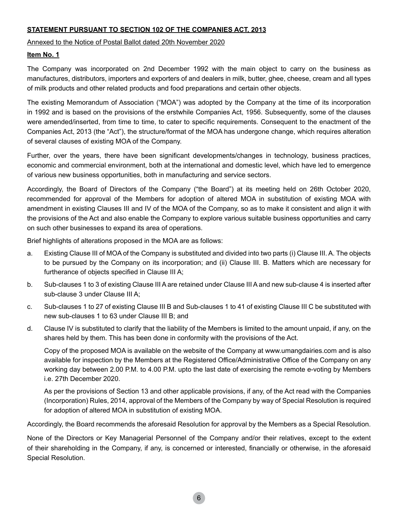# **STATEMENT PURSUANT TO SECTION 102 OF THE COMPANIES ACT, 2013**

Annexed to the Notice of Postal Ballot dated 20th November 2020

# **Item No. 1**

The Company was incorporated on 2nd December 1992 with the main object to carry on the business as manufactures, distributors, importers and exporters of and dealers in milk, butter, ghee, cheese, cream and all types of milk products and other related products and food preparations and certain other objects.

The existing Memorandum of Association ("MOA") was adopted by the Company at the time of its incorporation in 1992 and is based on the provisions of the erstwhile Companies Act, 1956. Subsequently, some of the clauses were amended/inserted, from time to time, to cater to specific requirements. Consequent to the enactment of the Companies Act, 2013 (the "Act"), the structure/format of the MOA has undergone change, which requires alteration of several clauses of existing MOA of the Company.

Further, over the years, there have been significant developments/changes in technology, business practices, economic and commercial environment, both at the international and domestic level, which have led to emergence of various new business opportunities, both in manufacturing and service sectors.

Accordingly, the Board of Directors of the Company ("the Board") at its meeting held on 26th October 2020, recommended for approval of the Members for adoption of altered MOA in substitution of existing MOA with amendment in existing Clauses III and IV of the MOA of the Company, so as to make it consistent and align it with the provisions of the Act and also enable the Company to explore various suitable business opportunities and carry on such other businesses to expand its area of operations.

Brief highlights of alterations proposed in the MOA are as follows:

- a. Existing Clause III of MOA of the Company is substituted and divided into two parts (i) Clause III. A. The objects to be pursued by the Company on its incorporation; and (ii) Clause III. B. Matters which are necessary for furtherance of objects specified in Clause III A;
- b. Sub-clauses 1 to 3 of existing Clause III A are retained under Clause III A and new sub-clause 4 is inserted after sub-clause 3 under Clause III A;
- c. Sub-clauses 1 to 27 of existing Clause III B and Sub-clauses 1 to 41 of existing Clause III C be substituted with new sub-clauses 1 to 63 under Clause III B; and
- d. Clause IV is substituted to clarify that the liability of the Members is limited to the amount unpaid, if any, on the shares held by them. This has been done in conformity with the provisions of the Act.

 Copy of the proposed MOA is available on the website of the Company at www.umangdairies.com and is also available for inspection by the Members at the Registered Office/Administrative Office of the Company on any working day between 2.00 P.M. to 4.00 P.M. upto the last date of exercising the remote e-voting by Members i.e. 27th December 2020.

 As per the provisions of Section 13 and other applicable provisions, if any, of the Act read with the Companies (Incorporation) Rules, 2014, approval of the Members of the Company by way of Special Resolution is required for adoption of altered MOA in substitution of existing MOA.

Accordingly, the Board recommends the aforesaid Resolution for approval by the Members as a Special Resolution.

None of the Directors or Key Managerial Personnel of the Company and/or their relatives, except to the extent of their shareholding in the Company, if any, is concerned or interested, financially or otherwise, in the aforesaid Special Resolution.